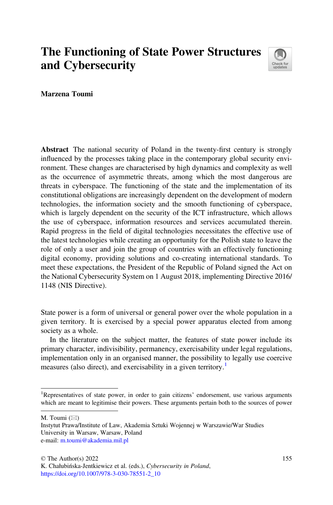## The Functioning of State Power Structures and Cybersecurity



Marzena Toumi

Abstract The national security of Poland in the twenty-first century is strongly influenced by the processes taking place in the contemporary global security environment. These changes are characterised by high dynamics and complexity as well as the occurrence of asymmetric threats, among which the most dangerous are threats in cyberspace. The functioning of the state and the implementation of its constitutional obligations are increasingly dependent on the development of modern technologies, the information society and the smooth functioning of cyberspace, which is largely dependent on the security of the ICT infrastructure, which allows the use of cyberspace, information resources and services accumulated therein. Rapid progress in the field of digital technologies necessitates the effective use of the latest technologies while creating an opportunity for the Polish state to leave the role of only a user and join the group of countries with an effectively functioning digital economy, providing solutions and co-creating international standards. To meet these expectations, the President of the Republic of Poland signed the Act on the National Cybersecurity System on 1 August 2018, implementing Directive 2016/ 1148 (NIS Directive).

State power is a form of universal or general power over the whole population in a given territory. It is exercised by a special power apparatus elected from among society as a whole.

In the literature on the subject matter, the features of state power include its primary character, indivisibility, permanency, exercisability under legal regulations, implementation only in an organised manner, the possibility to legally use coercive measures (also direct), and exercisability in a given territory.<sup>1</sup>

M. Toumi  $(\boxtimes)$ 

<sup>&</sup>lt;sup>1</sup>Representatives of state power, in order to gain citizens' endorsement, use various arguments which are meant to legitimise their powers. These arguments pertain both to the sources of power

Instytut Prawa/Institute of Law, Akademia Sztuki Wojennej w Warszawie/War Studies University in Warsaw, Warsaw, Poland e-mail: [m.toumi@akademia.mil.pl](mailto:m.toumi@akademia.mil.pl)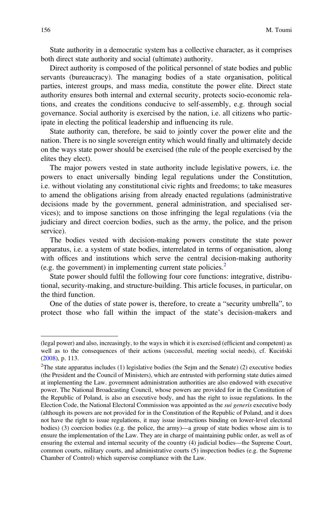State authority in a democratic system has a collective character, as it comprises both direct state authority and social (ultimate) authority.

Direct authority is composed of the political personnel of state bodies and public servants (bureaucracy). The managing bodies of a state organisation, political parties, interest groups, and mass media, constitute the power elite. Direct state authority ensures both internal and external security, protects socio-economic relations, and creates the conditions conducive to self-assembly, e.g. through social governance. Social authority is exercised by the nation, i.e. all citizens who participate in electing the political leadership and influencing its rule.

State authority can, therefore, be said to jointly cover the power elite and the nation. There is no single sovereign entity which would finally and ultimately decide on the ways state power should be exercised (the rule of the people exercised by the elites they elect).

The major powers vested in state authority include legislative powers, i.e. the powers to enact universally binding legal regulations under the Constitution, i.e. without violating any constitutional civic rights and freedoms; to take measures to amend the obligations arising from already enacted regulations (administrative decisions made by the government, general administration, and specialised services); and to impose sanctions on those infringing the legal regulations (via the judiciary and direct coercion bodies, such as the army, the police, and the prison service).

The bodies vested with decision-making powers constitute the state power apparatus, i.e. a system of state bodies, interrelated in terms of organisation, along with offices and institutions which serve the central decision-making authority (e.g. the government) in implementing current state policies.<sup>2</sup>

State power should fulfil the following four core functions: integrative, distributional, security-making, and structure-building. This article focuses, in particular, on the third function.

One of the duties of state power is, therefore, to create a "security umbrella", to protect those who fall within the impact of the state's decision-makers and

<sup>(</sup>legal power) and also, increasingly, to the ways in which it is exercised (efficient and competent) as well as to the consequences of their actions (successful, meeting social needs), cf. Kuciński ([2008\)](#page-13-0), p. 113.

<sup>&</sup>lt;sup>2</sup>The state apparatus includes (1) legislative bodies (the Sejm and the Senate) (2) executive bodies (the President and the Council of Ministers), which are entrusted with performing state duties aimed at implementing the Law. government administration authorities are also endowed with executive power. The National Broadcasting Council, whose powers are provided for in the Constitution of the Republic of Poland, is also an executive body, and has the right to issue regulations. In the Election Code, the National Electoral Commission was appointed as the sui generis executive body (although its powers are not provided for in the Constitution of the Republic of Poland, and it does not have the right to issue regulations, it may issue instructions binding on lower-level electoral bodies) (3) coercion bodies (e.g. the police, the army)—a group of state bodies whose aim is to ensure the implementation of the Law. They are in charge of maintaining public order, as well as of ensuring the external and internal security of the country (4) judicial bodies—the Supreme Court, common courts, military courts, and administrative courts (5) inspection bodies (e.g. the Supreme Chamber of Control) which supervise compliance with the Law.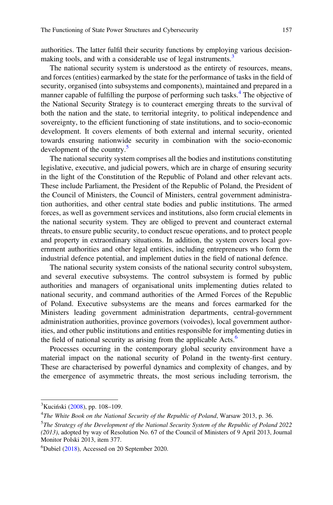authorities. The latter fulfil their security functions by employing various decisionmaking tools, and with a considerable use of legal instruments.<sup>3</sup>

The national security system is understood as the entirety of resources, means, and forces (entities) earmarked by the state for the performance of tasks in the field of security, organised (into subsystems and components), maintained and prepared in a manner capable of fulfilling the purpose of performing such tasks.<sup>4</sup> The objective of the National Security Strategy is to counteract emerging threats to the survival of both the nation and the state, to territorial integrity, to political independence and sovereignty, to the efficient functioning of state institutions, and to socio-economic development. It covers elements of both external and internal security, oriented towards ensuring nationwide security in combination with the socio-economic development of the country.<sup>5</sup>

The national security system comprises all the bodies and institutions constituting legislative, executive, and judicial powers, which are in charge of ensuring security in the light of the Constitution of the Republic of Poland and other relevant acts. These include Parliament, the President of the Republic of Poland, the President of the Council of Ministers, the Council of Ministers, central government administration authorities, and other central state bodies and public institutions. The armed forces, as well as government services and institutions, also form crucial elements in the national security system. They are obliged to prevent and counteract external threats, to ensure public security, to conduct rescue operations, and to protect people and property in extraordinary situations. In addition, the system covers local government authorities and other legal entities, including entrepreneurs who form the industrial defence potential, and implement duties in the field of national defence.

The national security system consists of the national security control subsystem, and several executive subsystems. The control subsystem is formed by public authorities and managers of organisational units implementing duties related to national security, and command authorities of the Armed Forces of the Republic of Poland. Executive subsystems are the means and forces earmarked for the Ministers leading government administration departments, central-government administration authorities, province governors (voivodes), local government authorities, and other public institutions and entities responsible for implementing duties in the field of national security as arising from the applicable  $Acts.6$ 

Processes occurring in the contemporary global security environment have a material impact on the national security of Poland in the twenty-first century. These are characterised by powerful dynamics and complexity of changes, and by the emergence of asymmetric threats, the most serious including terrorism, the

<sup>&</sup>lt;sup>3</sup> Kuciński ([2008\)](#page-13-0), pp. 108-109.

 $4$ The White Book on the National Security of the Republic of Poland, Warsaw 2013, p. 36.

<sup>&</sup>lt;sup>5</sup>The Strategy of the Development of the National Security System of the Republic of Poland 2022 (2013), adopted by way of Resolution No. 67 of the Council of Ministers of 9 April 2013, Journal Monitor Polski 2013, item 377.

<sup>6</sup> Dubiel [\(2018](#page-13-0)), Accessed on 20 September 2020.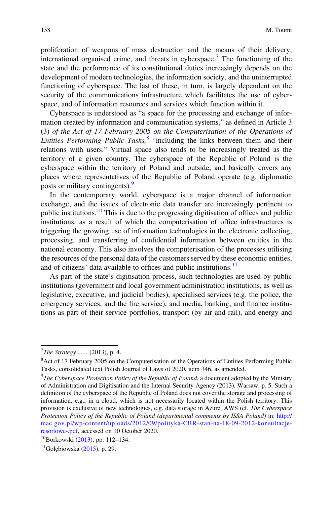proliferation of weapons of mass destruction and the means of their delivery, international organised crime, and threats in cyberspace.<sup>7</sup> The functioning of the state and the performance of its constitutional duties increasingly depends on the development of modern technologies, the information society, and the uninterrupted functioning of cyberspace. The last of these, in turn, is largely dependent on the security of the communications infrastructure which facilitates the use of cyberspace, and of information resources and services which function within it.

Cyberspace is understood as "a space for the processing and exchange of information created by information and communication systems," as defined in Article 3 (3) of the Act of 17 February 2005 on the Computerisation of the Operations of Entities Performing Public Tasks,  $8$  "including the links between them and their relations with users." Virtual space also tends to be increasingly treated as the territory of a given country. The cyberspace of the Republic of Poland is the cyberspace within the territory of Poland and outside, and basically covers any places where representatives of the Republic of Poland operate (e.g. diplomatic posts or military contingents).<sup>9</sup>

In the contemporary world, cyberspace is a major channel of information exchange, and the issues of electronic data transfer are increasingly pertinent to public institutions.<sup>10</sup> This is due to the progressing digitisation of offices and public institutions, as a result of which the computerisation of office infrastructures is triggering the growing use of information technologies in the electronic collecting, processing, and transferring of confidential information between entities in the national economy. This also involves the computerisation of the processes utilising the resources of the personal data of the customers served by these economic entities, and of citizens' data available to offices and public institutions.<sup>11</sup>

As part of the state's digitisation process, such technologies are used by public institutions (government and local government administration institutions, as well as legislative, executive, and judicial bodies), specialised services (e.g. the police, the emergency services, and the fire service), and media, banking, and finance institutions as part of their service portfolios, transport (by air and rail), and energy and

 $^{7}$ The Strategy .... (2013), p. 4.

<sup>&</sup>lt;sup>8</sup> Act of 17 February 2005 on the Computerisation of the Operations of Entities Performing Public Tasks, consolidated text Polish Journal of Laws of 2020, item 346, as amended.

 $^{9}$ The Cyberspace Protection Policy of the Republic of Poland, a document adopted by the Ministry of Administration and Digitisation and the Internal Security Agency (2013), Warsaw, p. 5. Such a definition of the cyberspace of the Republic of Poland does not cover the storage and processing of information, e.g., in a cloud, which is not necessarily located within the Polish territory. This provision is exclusive of new technologies, e.g. data storage in Azure, AWS (cf. The Cyberspace Protection Policy of the Republic of Poland (departmental comments by ISSA Poland) in: [http://](http://mac.gov.pl/wp-content/uploads/2012/09/polityka-CBR-stan-na-18-09-2012-konsultacje-resortowe-.pdf) [mac.gov.pl/wp-content/uploads/2012/09/polityka-CBR-stan-na-18-09-2012-konsultacje](http://mac.gov.pl/wp-content/uploads/2012/09/polityka-CBR-stan-na-18-09-2012-konsultacje-resortowe-.pdf)[resortowe-.pdf,](http://mac.gov.pl/wp-content/uploads/2012/09/polityka-CBR-stan-na-18-09-2012-konsultacje-resortowe-.pdf) accessed on 10 October 2020.

<sup>10</sup>Borkowski ([2013](#page-13-0)), pp. 112–134.

 $11$ Gołębiowska ([2015\)](#page-13-0), p. 29.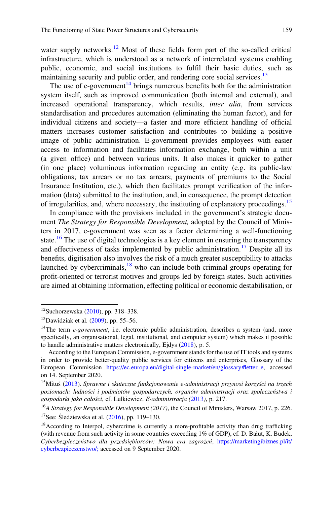water supply networks.<sup>12</sup> Most of these fields form part of the so-called critical infrastructure, which is understood as a network of interrelated systems enabling public, economic, and social institutions to fulfil their basic duties, such as maintaining security and public order, and rendering core social services.<sup>13</sup>

The use of e-government<sup>14</sup> brings numerous benefits both for the administration system itself, such as improved communication (both internal and external), and increased operational transparency, which results, inter alia, from services standardisation and procedures automation (eliminating the human factor), and for individual citizens and society—a faster and more efficient handling of official matters increases customer satisfaction and contributes to building a positive image of public administration. E-government provides employees with easier access to information and facilitates information exchange, both within a unit (a given office) and between various units. It also makes it quicker to gather (in one place) voluminous information regarding an entity (e.g. its public-law obligations; tax arrears or no tax arrears; payments of premiums to the Social Insurance Institution, etc.), which then facilitates prompt verification of the information (data) submitted to the institution, and, in consequence, the prompt detection of irregularities, and, where necessary, the instituting of explanatory proceedings.<sup>15</sup>

In compliance with the provisions included in the government's strategic document *The Strategy for Responsible Development*, adopted by the Council of Ministers in 2017, e-government was seen as a factor determining a well-functioning state.<sup>16</sup> The use of digital technologies is a key element in ensuring the transparency and effectiveness of tasks implemented by public administration.<sup>17</sup> Despite all its benefits, digitisation also involves the risk of a much greater susceptibility to attacks launched by cybercriminals, $18$  who can include both criminal groups operating for profit-oriented or terrorist motives and groups led by foreign states. Such activities are aimed at obtaining information, effecting political or economic destabilisation, or

 $12$ Suchorzewska [\(2010](#page-13-0)), pp. 318–338.

 $13$ Dawidziak et al. ([2009\)](#page-13-0), pp. 55–56.

<sup>&</sup>lt;sup>14</sup>The term *e-government*, i.e. electronic public administration, describes a system (and, more specifically, an organisational, legal, institutional, and computer system) which makes it possible to handle administrative matters electronically, Ejdys ([2018\)](#page-13-0), p. 5.

According to the European Commission, e-government stands for the use of IT tools and systems in order to provide better-quality public services for citizens and enterprises, Glossary of the European Commission [https://ec.europa.eu/digital-single-market/en/glossary#letter\\_e](https://ec.europa.eu/digital-single-market/en/glossary#letter_e), accessed on 14. September 2020.

<sup>&</sup>lt;sup>15</sup>Mituś ([2013\)](#page-13-0). Sprawne i skuteczne funkcjonowanie e-administracji przynosi korzyści na trzech poziomach: ludności i podmiotów gospodarczych, organów administracji oraz społeczeństwa i gospodarki jako całości, cf. Lulkiewicz, E-administracja ([2013](#page-13-0)), p. 217.

 $16A$  Strategy for Responsible Development (2017), the Council of Ministers, Warsaw 2017, p. 226. <sup>17</sup>See: Śledziewska et al.  $(2016)$  $(2016)$ , pp. 119–130.

<sup>&</sup>lt;sup>18</sup> According to Interpol, cybercrime is currently a more-profitable activity than drug trafficking (with revenue from such activity in some countries exceeding 1% of GDP), cf. D. Bałut, K. Budek, Cyberbezpieczeństwo dla przedsiębiorców: Nowa era zagrożeń, [https://marketingibiznes.pl/it/](https://marketingibiznes.pl/it/cyberbezpieczenstwo/;) [cyberbezpieczenstwo/;](https://marketingibiznes.pl/it/cyberbezpieczenstwo/;) accessed on 9 September 2020.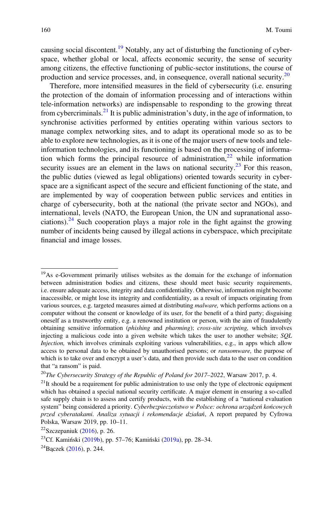causing social discontent.<sup>19</sup> Notably, any act of disturbing the functioning of cyberspace, whether global or local, affects economic security, the sense of security among citizens, the effective functioning of public-sector institutions, the course of production and service processes, and, in consequence, overall national security.20

Therefore, more intensified measures in the field of cybersecurity (i.e. ensuring the protection of the domain of information processing and of interactions within tele-information networks) are indispensable to responding to the growing threat from cybercriminals. $^{21}$  It is public administration's duty, in the age of information, to synchronise activities performed by entities operating within various sectors to manage complex networking sites, and to adapt its operational mode so as to be able to explore new technologies, as it is one of the major users of new tools and teleinformation technologies, and its functioning is based on the processing of information which forms the principal resource of administration, $22$  while information security issues are an element in the laws on national security.<sup>23</sup> For this reason, the public duties (viewed as legal obligations) oriented towards security in cyberspace are a significant aspect of the secure and efficient functioning of the state, and are implemented by way of cooperation between public services and entities in charge of cybersecurity, both at the national (the private sector and NGOs), and international, levels (NATO, the European Union, the UN and supranational associations). $^{24}$  Such cooperation plays a major role in the fight against the growing number of incidents being caused by illegal actions in cyberspace, which precipitate financial and image losses.

<sup>&</sup>lt;sup>19</sup>As e-Government primarily utilises websites as the domain for the exchange of information between administration bodies and citizens, these should meet basic security requirements, i.e. ensure adequate access, integrity and data confidentiality. Otherwise, information might become inaccessible, or might lose its integrity and confidentiality, as a result of impacts originating from various sources, e.g. targeted measures aimed at distributing *malware*, which performs actions on a computer without the consent or knowledge of its user, for the benefit of a third party; disguising oneself as a trustworthy entity, e.g. a renowned institution or person, with the aim of fraudulently obtaining sensitive information (phishing and pharming); cross-site scripting, which involves injecting a malicious code into a given website which takes the user to another website; SQL Injection, which involves criminals exploiting various vulnerabilities, e.g., in apps which allow access to personal data to be obtained by unauthorised persons; or ransomware, the purpose of which is to take over and encrypt a user's data, and then provide such data to the user on condition that "a ransom" is paid.

 $^{20}$ The Cybersecurity Strategy of the Republic of Poland for 2017–2022, Warsaw 2017, p. 4.

 $2<sup>1</sup>$ It should be a requirement for public administration to use only the type of electronic equipment which has obtained a special national security certificate. A major element in ensuring a so-called safe supply chain is to assess and certify products, with the establishing of a "national evaluation system" being considered a priority. Cyberbezpieczeństwo w Polsce: ochrona urządzeń końcowych przed cyberatakami. Analiza sytuacji i rekomendacje działań, A report prepared by Cyfrowa Polska, Warsaw 2019, pp. 10–11.

 $22$ Szczepaniuk [\(2016\)](#page-13-0), p. 26.

<sup>23</sup>Cf. Kamiński [\(2019b](#page-13-0)), pp. 57–76; Kamiński [\(2019a\)](#page-13-0), pp. 28–34.

 $^{24}$ Bączek [\(2016](#page-13-0)), p. 244.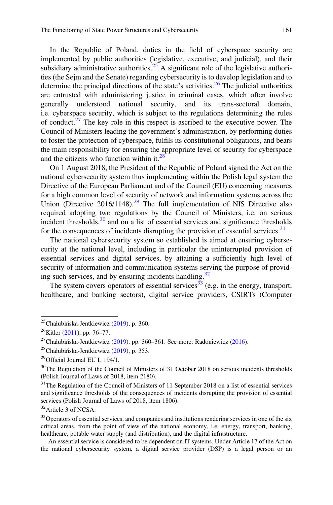In the Republic of Poland, duties in the field of cyberspace security are implemented by public authorities (legislative, executive, and judicial), and their subsidiary administrative authorities.<sup>25</sup> A significant role of the legislative authorities (the Sejm and the Senate) regarding cybersecurity is to develop legislation and to determine the principal directions of the state's activities.<sup>26</sup> The judicial authorities are entrusted with administering justice in criminal cases, which often involve generally understood national security, and its trans-sectoral domain, i.e. cyberspace security, which is subject to the regulations determining the rules of conduct.<sup>27</sup> The key role in this respect is ascribed to the executive power. The Council of Ministers leading the government's administration, by performing duties to foster the protection of cyberspace, fulfils its constitutional obligations, and bears the main responsibility for ensuring the appropriate level of security for cyberspace and the citizens who function within it. $^{28}$ 

On 1 August 2018, the President of the Republic of Poland signed the Act on the national cybersecurity system thus implementing within the Polish legal system the Directive of the European Parliament and of the Council (EU) concerning measures for a high common level of security of network and information systems across the Union (Directive  $2016/1148$ ).<sup>29</sup> The full implementation of NIS Directive also required adopting two regulations by the Council of Ministers, i.e. on serious incident thresholds, $30$  and on a list of essential services and significance thresholds for the consequences of incidents disrupting the provision of essential services.<sup>31</sup>

The national cybersecurity system so established is aimed at ensuring cybersecurity at the national level, including in particular the uninterrupted provision of essential services and digital services, by attaining a sufficiently high level of security of information and communication systems serving the purpose of providing such services, and by ensuring incidents handling. $32$ 

The system covers operators of essential services<sup>33</sup> (e.g. in the energy, transport, healthcare, and banking sectors), digital service providers, CSIRTs (Computer

<sup>&</sup>lt;sup>25</sup>Chałubińska-Jentkiewicz  $(2019)$  $(2019)$ , p. 360.

 $26$ Kitler ([2011\)](#page-13-0), pp. 76–77.

<sup>&</sup>lt;sup>27</sup>Chałubińska-Jentkiewicz ([2019\)](#page-13-0). pp. 360–361. See more: Radoniewicz [\(2016](#page-13-0)).

<sup>28</sup>Chałubińska-Jentkiewicz ([2019\)](#page-13-0), p. 353.

 $29$ Official Journal EU L 194/1.

 $30$ The Regulation of the Council of Ministers of 31 October 2018 on serious incidents thresholds (Polish Journal of Laws of 2018, item 2180).

 $31$ The Regulation of the Council of Ministers of 11 September 2018 on a list of essential services and significance thresholds of the consequences of incidents disrupting the provision of essential services (Polish Journal of Laws of 2018, item 1806).

<sup>&</sup>lt;sup>32</sup> Article 3 of NCSA.

<sup>&</sup>lt;sup>33</sup> Operators of essential services, and companies and institutions rendering services in one of the six critical areas, from the point of view of the national economy, i.e. energy, transport, banking, healthcare, potable water supply (and distribution), and the digital infrastructure.

An essential service is considered to be dependent on IT systems. Under Article 17 of the Act on the national cybersecurity system, a digital service provider (DSP) is a legal person or an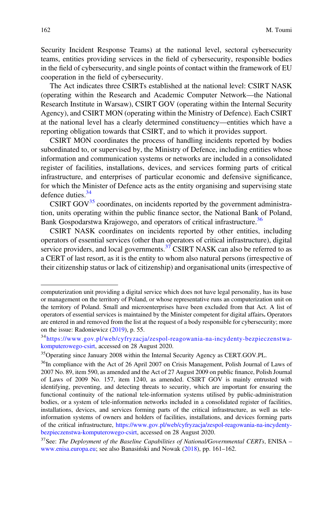Security Incident Response Teams) at the national level, sectoral cybersecurity teams, entities providing services in the field of cybersecurity, responsible bodies in the field of cybersecurity, and single points of contact within the framework of EU cooperation in the field of cybersecurity.

The Act indicates three CSIRTs established at the national level: CSIRT NASK (operating within the Research and Academic Computer Network—the National Research Institute in Warsaw), CSIRT GOV (operating within the Internal Security Agency), and CSIRT MON (operating within the Ministry of Defence). Each CSIRT at the national level has a clearly determined constituency—entities which have a reporting obligation towards that CSIRT, and to which it provides support.

CSIRT MON coordinates the process of handling incidents reported by bodies subordinated to, or supervised by, the Ministry of Defence, including entities whose information and communication systems or networks are included in a consolidated register of facilities, installations, devices, and services forming parts of critical infrastructure, and enterprises of particular economic and defensive significance, for which the Minister of Defence acts as the entity organising and supervising state defence duties.<sup>34</sup>

CSIRT GOV $^{35}$  coordinates, on incidents reported by the government administration, units operating within the public finance sector, the National Bank of Poland, Bank Gospodarstwa Krajowego, and operators of critical infrastructure.<sup>36</sup>

CSIRT NASK coordinates on incidents reported by other entities, including operators of essential services (other than operators of critical infrastructure), digital service providers, and local governments. $37$  CSIRT NASK can also be referred to as a CERT of last resort, as it is the entity to whom also natural persons (irrespective of their citizenship status or lack of citizenship) and organisational units (irrespective of

computerization unit providing a digital service which does not have legal personality, has its base or management on the territory of Poland, or whose representative runs an computerization unit on the territory of Poland. Small and microenterprises have been excluded from that Act. A list of operators of essential services is maintained by the Minister competent for digital affairs. Operators are entered in and removed from the list at the request of a body responsible for cybersecurity; more on the issue: Radoniewicz ([2019\)](#page-13-0), p. 55.

<sup>34</sup>[https://www.gov.pl/web/cyfryzacja/zespol-reagowania-na-incydenty-bezpieczenstwa](https://www.gov.pl/web/cyfryzacja/zespol-reagowania-na-incydenty-bezpieczenstwa-komputerowego-csirt)[komputerowego-csirt,](https://www.gov.pl/web/cyfryzacja/zespol-reagowania-na-incydenty-bezpieczenstwa-komputerowego-csirt) accessed on 28 August 2020.

<sup>&</sup>lt;sup>35</sup>Operating since January 2008 within the Internal Security Agency as CERT.GOV.PL.

<sup>&</sup>lt;sup>36</sup>In compliance with the Act of 26 April 2007 on Crisis Management, Polish Journal of Laws of 2007 No. 89, item 590, as amended and the Act of 27 August 2009 on public finance, Polish Journal of Laws of 2009 No. 157, item 1240, as amended. CSIRT GOV is mainly entrusted with identifying, preventing, and detecting threats to security, which are important for ensuring the functional continuity of the national tele-information systems utilised by public-administration bodies, or a system of tele-information networks included in a consolidated register of facilities, installations, devices, and services forming parts of the critical infrastructure, as well as teleinformation systems of owners and holders of facilities, installations, and devices forming parts of the critical infrastructure, [https://www.gov.pl/web/cyfryzacja/zespol-reagowania-na-incydenty](https://www.gov.pl/web/cyfryzacja/zespol-reagowania-na-incydenty-bezpieczenstwa-komputerowego-csirt)[bezpieczenstwa-komputerowego-csirt,](https://www.gov.pl/web/cyfryzacja/zespol-reagowania-na-incydenty-bezpieczenstwa-komputerowego-csirt) accessed on 28 August 2020.

 $37$ See: The Deployment of the Baseline Capabilities of National/Governmental CERTs, ENISA – [www.enisa.europa.eu](http://www.enisa.europa.eu); see also Banasiński and Nowak [\(2018](#page-13-0)), pp. 161–162.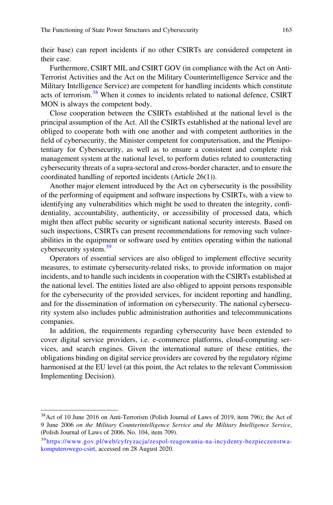their base) can report incidents if no other CSIRTs are considered competent in their case.

Furthermore, CSIRT MIL and CSIRT GOV (in compliance with the Act on Anti-Terrorist Activities and the Act on the Military Counterintelligence Service and the Military Intelligence Service) are competent for handling incidents which constitute acts of terrorism.<sup>38</sup> When it comes to incidents related to national defence, CSIRT MON is always the competent body.

Close cooperation between the CSIRTs established at the national level is the principal assumption of the Act. All the CSIRTs established at the national level are obliged to cooperate both with one another and with competent authorities in the field of cybersecurity, the Minister competent for computerisation, and the Plenipotentiary for Cybersecurity, as well as to ensure a consistent and complete risk management system at the national level, to perform duties related to counteracting cybersecurity threats of a supra-sectoral and cross-border character, and to ensure the coordinated handling of reported incidents (Article 26(1)).

Another major element introduced by the Act on cybersecurity is the possibility of the performing of equipment and software inspections by CSIRTs, with a view to identifying any vulnerabilities which might be used to threaten the integrity, confidentiality, accountability, authenticity, or accessibility of processed data, which might then affect public security or significant national security interests. Based on such inspections, CSIRTs can present recommendations for removing such vulnerabilities in the equipment or software used by entities operating within the national cybersecurity system.<sup>39</sup>

Operators of essential services are also obliged to implement effective security measures, to estimate cybersecurity-related risks, to provide information on major incidents, and to handle such incidents in cooperation with the CSIRTs established at the national level. The entities listed are also obliged to appoint persons responsible for the cybersecurity of the provided services, for incident reporting and handling, and for the dissemination of information on cybersecurity. The national cybersecurity system also includes public administration authorities and telecommunications companies.

In addition, the requirements regarding cybersecurity have been extended to cover digital service providers, i.e. e-commerce platforms, cloud-computing services, and search engines. Given the international nature of these entities, the obligations binding on digital service providers are covered by the regulatory régime harmonised at the EU level (at this point, the Act relates to the relevant Commission Implementing Decision).

<sup>38</sup>Act of 10 June 2016 on Anti-Terrorism (Polish Journal of Laws of 2019, item 796); the Act of 9 June 2006 on the Military Counterintelligence Service and the Military Intelligence Service, (Polish Journal of Laws of 2006, No. 104, item 709).

<sup>39</sup>[https://www.gov.pl/web/cyfryzacja/zespol-reagowania-na-incydenty-bezpieczenstwa](https://www.gov.pl/web/cyfryzacja/zespol-reagowania-na-incydenty-bezpieczenstwa-komputerowego-csirt)[komputerowego-csirt,](https://www.gov.pl/web/cyfryzacja/zespol-reagowania-na-incydenty-bezpieczenstwa-komputerowego-csirt) accessed on 28 August 2020.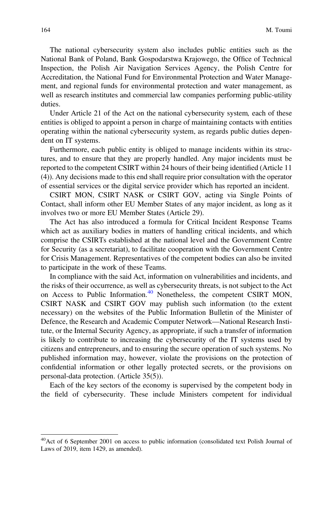The national cybersecurity system also includes public entities such as the National Bank of Poland, Bank Gospodarstwa Krajowego, the Office of Technical Inspection, the Polish Air Navigation Services Agency, the Polish Centre for Accreditation, the National Fund for Environmental Protection and Water Management, and regional funds for environmental protection and water management, as well as research institutes and commercial law companies performing public-utility duties.

Under Article 21 of the Act on the national cybersecurity system, each of these entities is obliged to appoint a person in charge of maintaining contacts with entities operating within the national cybersecurity system, as regards public duties dependent on IT systems.

Furthermore, each public entity is obliged to manage incidents within its structures, and to ensure that they are properly handled. Any major incidents must be reported to the competent CSIRT within 24 hours of their being identified (Article 11 (4)). Any decisions made to this end shall require prior consultation with the operator of essential services or the digital service provider which has reported an incident.

CSIRT MON, CSIRT NASK or CSIRT GOV, acting via Single Points of Contact, shall inform other EU Member States of any major incident, as long as it involves two or more EU Member States (Article 29).

The Act has also introduced a formula for Critical Incident Response Teams which act as auxiliary bodies in matters of handling critical incidents, and which comprise the CSIRTs established at the national level and the Government Centre for Security (as a secretariat), to facilitate cooperation with the Government Centre for Crisis Management. Representatives of the competent bodies can also be invited to participate in the work of these Teams.

In compliance with the said Act, information on vulnerabilities and incidents, and the risks of their occurrence, as well as cybersecurity threats, is not subject to the Act on Access to Public Information.<sup>40</sup> Nonetheless, the competent CSIRT MON, CSIRT NASK and CSIRT GOV may publish such information (to the extent necessary) on the websites of the Public Information Bulletin of the Minister of Defence, the Research and Academic Computer Network—National Research Institute, or the Internal Security Agency, as appropriate, if such a transfer of information is likely to contribute to increasing the cybersecurity of the IT systems used by citizens and entrepreneurs, and to ensuring the secure operation of such systems. No published information may, however, violate the provisions on the protection of confidential information or other legally protected secrets, or the provisions on personal-data protection. (Article 35(5)).

Each of the key sectors of the economy is supervised by the competent body in the field of cybersecurity. These include Ministers competent for individual

<sup>40</sup>Act of 6 September 2001 on access to public information (consolidated text Polish Journal of Laws of 2019, item 1429, as amended).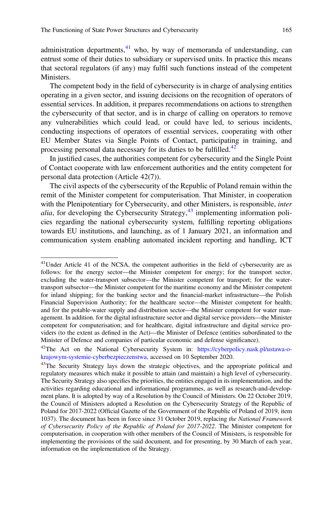administration departments, $41$  who, by way of memoranda of understanding, can entrust some of their duties to subsidiary or supervised units. In practice this means that sectoral regulators (if any) may fulfil such functions instead of the competent Ministers.

The competent body in the field of cybersecurity is in charge of analysing entities operating in a given sector, and issuing decisions on the recognition of operators of essential services. In addition, it prepares recommendations on actions to strengthen the cybersecurity of that sector, and is in charge of calling on operators to remove any vulnerabilities which could lead, or could have led, to serious incidents, conducting inspections of operators of essential services, cooperating with other EU Member States via Single Points of Contact, participating in training, and processing personal data necessary for its duties to be fulfilled.<sup>42</sup>

In justified cases, the authorities competent for cybersecurity and the Single Point of Contact cooperate with law enforcement authorities and the entity competent for personal data protection (Article 42(7)).

The civil aspects of the cybersecurity of the Republic of Poland remain within the remit of the Minister competent for computerisation. That Minister, in cooperation with the Plenipotentiary for Cybersecurity, and other Ministers, is responsible, *inter alia*, for developing the Cybersecurity Strategy,  $^{43}$  implementing information policies regarding the national cybersecurity system, fulfilling reporting obligations towards EU institutions, and launching, as of 1 January 2021, an information and communication system enabling automated incident reporting and handling, ICT

<sup>&</sup>lt;sup>41</sup>Under Article 41 of the NCSA, the competent authorities in the field of cybersecurity are as follows: for the energy sector—the Minister competent for energy; for the transport sector, excluding the water-transport subsector—the Minister competent for transport; for the watertransport subsector—the Minister competent for the maritime economy and the Minister competent for inland shipping; for the banking sector and the financial-market infrastructure—the Polish Financial Supervision Authority; for the healthcare sector—the Minister competent for health; and for the potable-water supply and distribution sector—the Minister competent for water management. In addition. for the digital infrastructure sector and digital service providers—the Minister competent for computerisation; and for healthcare, digital infrastructure and digital service providers (to the extent as defined in the Act)—the Minister of Defence (entities subordinated to the Minister of Defence and companies of particular economic and defense significance).

<sup>&</sup>lt;sup>42</sup>The Act on the National Cybersecurity System in: [https://cyberpolicy.nask.pl/ustawa-o](https://cyberpolicy.nask.pl/ustawa-o-krajowym-systemie-cyberbezpieczenstwa)[krajowym-systemie-cyberbezpieczenstwa,](https://cyberpolicy.nask.pl/ustawa-o-krajowym-systemie-cyberbezpieczenstwa) accessed on 10 September 2020.

<sup>&</sup>lt;sup>43</sup>The Security Strategy lays down the strategic objectives, and the appropriate political and regulatory measures which make it possible to attain (and maintain) a high level of cybersecurity. The Security Strategy also specifies the priorities, the entities engaged in its implementation, and the activities regarding educational and informational programmes, as well as research-and-development plans. It is adopted by way of a Resolution by the Council of Ministers. On 22 October 2019, the Council of Ministers adopted a Resolution on the Cybersecurity Strategy of the Republic of Poland for 2017-2022 (Official Gazette of the Government of the Republic of Poland of 2019, item 1037). The document has been in force since 31 October 2019, replacing the National Framework of Cybersecurity Policy of the Republic of Poland for 2017-2022. The Minister competent for computerisation, in cooperation with other members of the Council of Ministers, is responsible for implementing the provisions of the said document, and for presenting, by 30 March of each year, information on the implementation of the Strategy.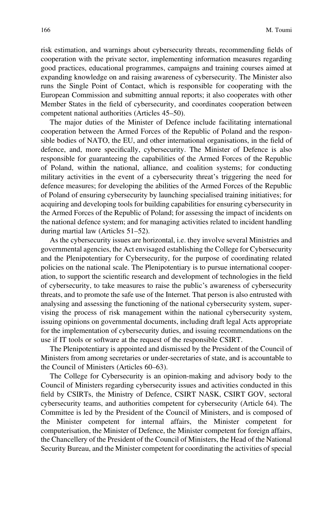risk estimation, and warnings about cybersecurity threats, recommending fields of cooperation with the private sector, implementing information measures regarding good practices, educational programmes, campaigns and training courses aimed at expanding knowledge on and raising awareness of cybersecurity. The Minister also runs the Single Point of Contact, which is responsible for cooperating with the European Commission and submitting annual reports; it also cooperates with other Member States in the field of cybersecurity, and coordinates cooperation between competent national authorities (Articles 45–50).

The major duties of the Minister of Defence include facilitating international cooperation between the Armed Forces of the Republic of Poland and the responsible bodies of NATO, the EU, and other international organisations, in the field of defence, and, more specifically, cybersecurity. The Minister of Defence is also responsible for guaranteeing the capabilities of the Armed Forces of the Republic of Poland, within the national, alliance, and coalition systems; for conducting military activities in the event of a cybersecurity threat's triggering the need for defence measures; for developing the abilities of the Armed Forces of the Republic of Poland of ensuring cybersecurity by launching specialised training initiatives; for acquiring and developing tools for building capabilities for ensuring cybersecurity in the Armed Forces of the Republic of Poland; for assessing the impact of incidents on the national defence system; and for managing activities related to incident handling during martial law (Articles 51–52).

As the cybersecurity issues are horizontal, i.e. they involve several Ministries and governmental agencies, the Act envisaged establishing the College for Cybersecurity and the Plenipotentiary for Cybersecurity, for the purpose of coordinating related policies on the national scale. The Plenipotentiary is to pursue international cooperation, to support the scientific research and development of technologies in the field of cybersecurity, to take measures to raise the public's awareness of cybersecurity threats, and to promote the safe use of the Internet. That person is also entrusted with analysing and assessing the functioning of the national cybersecurity system, supervising the process of risk management within the national cybersecurity system, issuing opinions on governmental documents, including draft legal Acts appropriate for the implementation of cybersecurity duties, and issuing recommendations on the use if IT tools or software at the request of the responsible CSIRT.

The Plenipotentiary is appointed and dismissed by the President of the Council of Ministers from among secretaries or under-secretaries of state, and is accountable to the Council of Ministers (Articles 60–63).

The College for Cybersecurity is an opinion-making and advisory body to the Council of Ministers regarding cybersecurity issues and activities conducted in this field by CSIRTs, the Ministry of Defence, CSIRT NASK, CSIRT GOV, sectoral cybersecurity teams, and authorities competent for cybersecurity (Article 64). The Committee is led by the President of the Council of Ministers, and is composed of the Minister competent for internal affairs, the Minister competent for computerisation, the Minister of Defence, the Minister competent for foreign affairs, the Chancellery of the President of the Council of Ministers, the Head of the National Security Bureau, and the Minister competent for coordinating the activities of special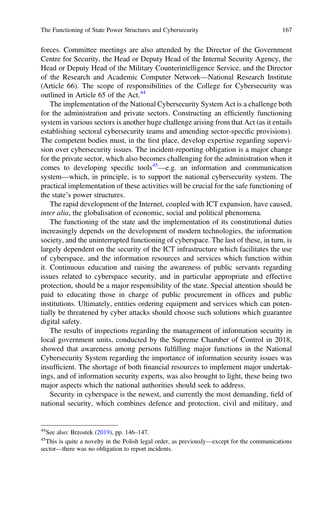forces. Committee meetings are also attended by the Director of the Government Centre for Security, the Head or Deputy Head of the Internal Security Agency, the Head or Deputy Head of the Military Counterintelligence Service, and the Director of the Research and Academic Computer Network—National Research Institute (Article 66). The scope of responsibilities of the College for Cybersecurity was outlined in Article 65 of the Act.<sup>44</sup>

The implementation of the National Cybersecurity System Act is a challenge both for the administration and private sectors. Constructing an efficiently functioning system in various sectors is another huge challenge arising from that Act (as it entails establishing sectoral cybersecurity teams and amending sector-specific provisions). The competent bodies must, in the first place, develop expertise regarding supervision over cybersecurity issues. The incident-reporting obligation is a major change for the private sector, which also becomes challenging for the administration when it comes to developing specific tools<sup>45</sup>—e.g. an information and communication system—which, in principle, is to support the national cybersecurity system. The practical implementation of these activities will be crucial for the safe functioning of the state's power structures.

The rapid development of the Internet, coupled with ICT expansion, have caused, inter alia, the globalisation of economic, social and political phenomena.

The functioning of the state and the implementation of its constitutional duties increasingly depends on the development of modern technologies, the information society, and the uninterrupted functioning of cyberspace. The last of these, in turn, is largely dependent on the security of the ICT infrastructure which facilitates the use of cyberspace, and the information resources and services which function within it. Continuous education and raising the awareness of public servants regarding issues related to cyberspace security, and in particular appropriate and effective protection, should be a major responsibility of the state. Special attention should be paid to educating those in charge of public procurement in offices and public institutions. Ultimately, entities ordering equipment and services which can potentially be threatened by cyber attacks should choose such solutions which guarantee digital safety.

The results of inspections regarding the management of information security in local government units, conducted by the Supreme Chamber of Control in 2018, showed that awareness among persons fulfilling major functions in the National Cybersecurity System regarding the importance of information security issues was insufficient. The shortage of both financial resources to implement major undertakings, and of information security experts, was also brought to light, these being two major aspects which the national authorities should seek to address.

Security in cyberspace is the newest, and currently the most demanding, field of national security, which combines defence and protection, civil and military, and

<sup>44</sup>See also: Brzostek [\(2019\)](#page-13-0), pp. 146–147.

<sup>&</sup>lt;sup>45</sup>This is quite a novelty in the Polish legal order, as previously—except for the communications sector—there was no obligation to report incidents.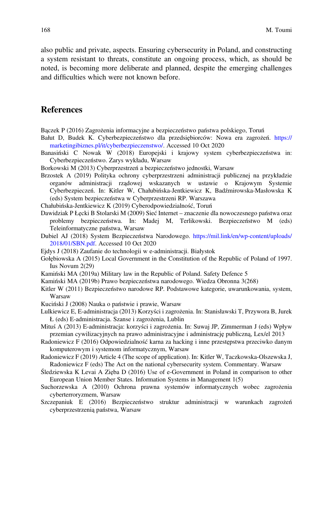<span id="page-13-0"></span>also public and private, aspects. Ensuring cybersecurity in Poland, and constructing a system resistant to threats, constitute an ongoing process, which, as should be noted, is becoming more deliberate and planned, despite the emerging challenges and difficulties which were not known before.

## **References**

- Bączek P (2016) Zagrożenia informacyjne a bezpieczeństwo państwa polskiego, Toruń
- Bałut D, Budek K. Cyberbezpieczeństwo dla przedsiębiorców: Nowa era zagrożeń. [https://](https://marketingibiznes.pl/it/cyberbezpieczenstwo/) [marketingibiznes.pl/it/cyberbezpieczenstwo/](https://marketingibiznes.pl/it/cyberbezpieczenstwo/). Accessed 10 Oct 2020
- Banasiński C Nowak W (2018) Europejski i krajowy system cyberbezpieczeństwa in: Cyberbezpieczeństwo. Zarys wykładu, Warsaw

Borkowski M (2013) Cyberprzestrzeń a bezpieczeństwo jednostki, Warsaw

Brzostek A (2019) Polityka ochrony cyberprzestrzeni administracji publicznej na przykładzie organów administracji rządowej wskazanych w ustawie o Krajowym Systemie Cyberbezpieczeń. In: Kitler W, Chałubińska-Jentkiewicz K, Badźmirowska-Masłowska K (eds) System bezpieczeństwa w Cyberprzestrzeni RP. Warszawa

Chałubińska-Jentkiewicz K (2019) Cyberodpowiedzialność, Toruń

- Dawidziak P Łęcki B Stolarski M (2009) Sieć Internet znaczenie dla nowoczesnego państwa oraz problemy bezpieczeństwa. In: Madej M, Terlikowski. Bezpieczeństwo M (eds) Teleinformatyczne państwa, Warsaw
- Dubiel AJ (2018) System Bezpieczeństwa Narodowego. [https://mil.link/en/wp-content/uploads/](https://mil.link/en/wp-content/uploads/2018/01/SBN.pdf) [2018/01/SBN.pdf.](https://mil.link/en/wp-content/uploads/2018/01/SBN.pdf) Accessed 10 Oct 2020
- Ejdys J (2018) Zaufanie do technologii w e-administracji. Białystok
- Gołębiowska A (2015) Local Government in the Constitution of the Republic of Poland of 1997. Ius Novum 2(29)
- Kamiński MA (2019a) Military law in the Republic of Poland. Safety Defence 5
- Kamiński MA (2019b) Prawo bezpieczeństwa narodowego. Wiedza Obronna 3(268)
- Kitler W (2011) Bezpieczeństwo narodowe RP. Podstawowe kategorie, uwarunkowania, system, Warsaw
- Kuciński J (2008) Nauka o państwie i prawie, Warsaw
- Lulkiewicz E, E-administracja (2013) Korzyści i zagrożenia. In: Stanisławski T, Przywora B, Jurek Ł (eds) E-administracja. Szanse i zagrożenia, Lublin
- Mituś A (2013) E-administracja: korzyści i zagrożenia. In: Suwaj JP, Zimmerman J (eds) Wpływ przemian cywilizacyjnych na prawo administracyjne i administrację publiczną, Lex/el 2013
- Radoniewicz F (2016) Odpowiedzialność karna za hacking i inne przestępstwa przeciwko danym komputerowym i systemom informatycznym, Warsaw
- Radoniewicz F (2019) Article 4 (The scope of application). In: Kitler W, Taczkowska-Olszewska J, Radoniewicz F (eds) The Act on the national cybersecurity system. Commentary. Warsaw
- Śledziewska K Levai A Zięba D (2016) Use of e-Government in Poland in comparison to other European Union Member States. Information Systems in Management 1(5)
- Suchorzewska A (2010) Ochrona prawna systemów informatycznych wobec zagrożenia cyberterroryzmem, Warsaw
- Szczepaniuk E (2016) Bezpieczeństwo struktur administracji w warunkach zagrożeń cyberprzestrzenią państwa, Warsaw